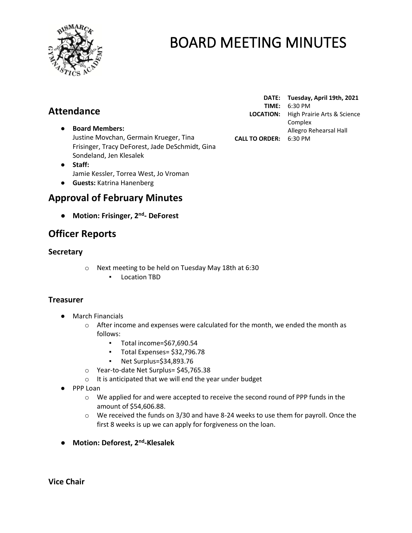

## **Attendance**

- **Board Members:** Justine Movchan, Germain Krueger, Tina Frisinger, Tracy DeForest, Jade DeSchmidt, Gina Sondeland, Jen Klesalek
- **Staff:**  Jamie Kessler, Torrea West, Jo Vroman
- **Guests:** Katrina Hanenberg

## **Approval of February Minutes**

● **Motion: Frisinger, 2 nd - DeForest**

## **Officer Reports**

#### **Secretary**

- o Next meeting to be held on Tuesday May 18th at 6:30
	- Location TBD

#### **Treasurer**

- March Financials
	- $\circ$  After income and expenses were calculated for the month, we ended the month as follows:
		- Total income=\$67,690.54
		- Total Expenses= \$32,796.78
		- Net Surplus=\$34,893.76
	- o Year-to-date Net Surplus= \$45,765.38
	- o It is anticipated that we will end the year under budget
- PPP Loan
	- $\circ$  We applied for and were accepted to receive the second round of PPP funds in the amount of \$54,606.88.
	- $\circ$  We received the funds on 3/30 and have 8-24 weeks to use them for payroll. Once the first 8 weeks is up we can apply for forgiveness on the loan.
- **Motion: Deforest, 2nd -Klesalek**

**DATE: Tuesday, April 19th, 2021 TIME:** 6:30 PM **LOCATION:** High Prairie Arts & Science Complex Allegro Rehearsal Hall **CALL TO ORDER:** 6:30 PM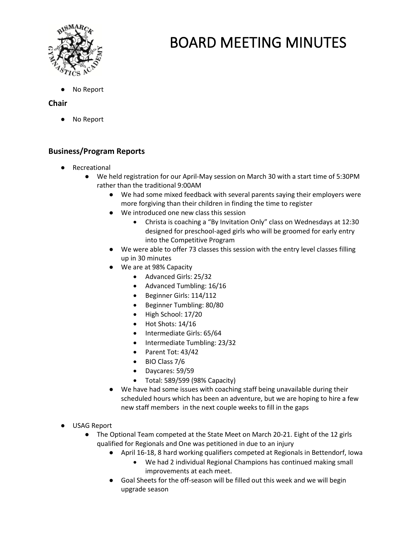

**No Report** 

#### **Chair**

No Report

### **Business/Program Reports**

- Recreational
	- We held registration for our April-May session on March 30 with a start time of 5:30PM rather than the traditional 9:00AM
		- We had some mixed feedback with several parents saying their employers were more forgiving than their children in finding the time to register
		- We introduced one new class this session
			- Christa is coaching a "By Invitation Only" class on Wednesdays at 12:30 designed for preschool-aged girls who will be groomed for early entry into the Competitive Program
		- We were able to offer 73 classes this session with the entry level classes filling up in 30 minutes
		- We are at 98% Capacity
			- Advanced Girls: 25/32
			- Advanced Tumbling: 16/16
			- Beginner Girls: 114/112
			- Beginner Tumbling: 80/80
			- High School: 17/20
			- Hot Shots: 14/16
			- Intermediate Girls: 65/64
			- Intermediate Tumbling: 23/32
			- Parent Tot: 43/42
			- BIO Class 7/6
			- Daycares: 59/59
			- Total: 589/599 (98% Capacity)
		- We have had some issues with coaching staff being unavailable during their scheduled hours which has been an adventure, but we are hoping to hire a few new staff members in the next couple weeks to fill in the gaps
- USAG Report
	- The Optional Team competed at the State Meet on March 20-21. Eight of the 12 girls qualified for Regionals and One was petitioned in due to an injury
		- April 16-18, 8 hard working qualifiers competed at Regionals in Bettendorf, Iowa
			- We had 2 individual Regional Champions has continued making small improvements at each meet.
		- Goal Sheets for the off-season will be filled out this week and we will begin upgrade season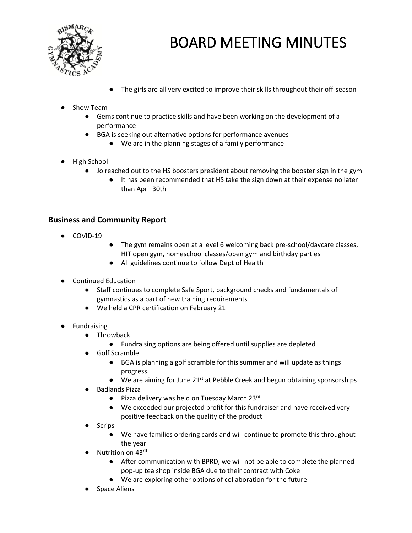

The girls are all very excited to improve their skills throughout their off-season

#### **Show Team**

- Gems continue to practice skills and have been working on the development of a performance
- BGA is seeking out alternative options for performance avenues
	- We are in the planning stages of a family performance
- High School
	- Jo reached out to the HS boosters president about removing the booster sign in the gym
		- It has been recommended that HS take the sign down at their expense no later than April 30th

#### **Business and Community Report**

- COVID-19
- The gym remains open at a level 6 welcoming back pre-school/daycare classes, HIT open gym, homeschool classes/open gym and birthday parties
- All guidelines continue to follow Dept of Health
- Continued Education
	- Staff continues to complete Safe Sport, background checks and fundamentals of gymnastics as a part of new training requirements
	- We held a CPR certification on February 21
- **Fundraising** 
	- Throwback
		- Fundraising options are being offered until supplies are depleted
	- Golf Scramble
		- BGA is planning a golf scramble for this summer and will update as things progress.
		- $\bullet$  We are aiming for June 21<sup>st</sup> at Pebble Creek and begun obtaining sponsorships
	- **Badlands Pizza** 
		- Pizza delivery was held on Tuesday March 23rd
		- We exceeded our projected profit for this fundraiser and have received very positive feedback on the quality of the product
	- **Scrips** 
		- We have families ordering cards and will continue to promote this throughout the year
	- Nutrition on 43rd
		- After communication with BPRD, we will not be able to complete the planned pop-up tea shop inside BGA due to their contract with Coke
		- We are exploring other options of collaboration for the future
	- **Space Aliens**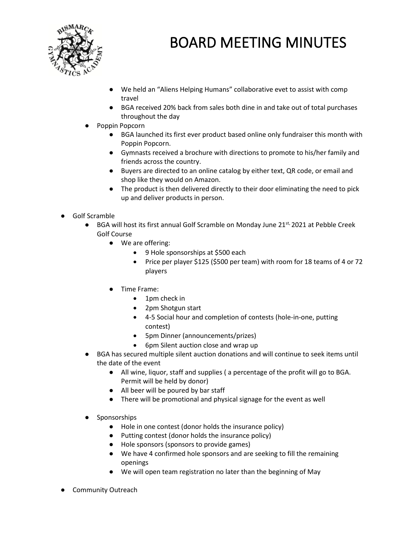

- We held an "Aliens Helping Humans" collaborative evet to assist with comp travel
- BGA received 20% back from sales both dine in and take out of total purchases throughout the day
- Poppin Popcorn
	- BGA launched its first ever product based online only fundraiser this month with Poppin Popcorn.
	- Gymnasts received a brochure with directions to promote to his/her family and friends across the country.
	- Buyers are directed to an online catalog by either text, QR code, or email and shop like they would on Amazon.
	- The product is then delivered directly to their door eliminating the need to pick up and deliver products in person.
- Golf Scramble
	- $\bullet$  BGA will host its first annual Golf Scramble on Monday June 21st, 2021 at Pebble Creek Golf Course
		- We are offering:
			- 9 Hole sponsorships at \$500 each
			- Price per player \$125 (\$500 per team) with room for 18 teams of 4 or 72 players
		- Time Frame:
			- 1pm check in
			- 2pm Shotgun start
			- 4-5 Social hour and completion of contests (hole-in-one, putting contest)
			- 5pm Dinner (announcements/prizes)
			- 6pm Silent auction close and wrap up
	- BGA has secured multiple silent auction donations and will continue to seek items until the date of the event
		- All wine, liquor, staff and supplies ( a percentage of the profit will go to BGA. Permit will be held by donor)
		- All beer will be poured by bar staff
		- There will be promotional and physical signage for the event as well
	- Sponsorships
		- Hole in one contest (donor holds the insurance policy)
		- Putting contest (donor holds the insurance policy)
		- Hole sponsors (sponsors to provide games)
		- We have 4 confirmed hole sponsors and are seeking to fill the remaining openings
		- We will open team registration no later than the beginning of May
- Community Outreach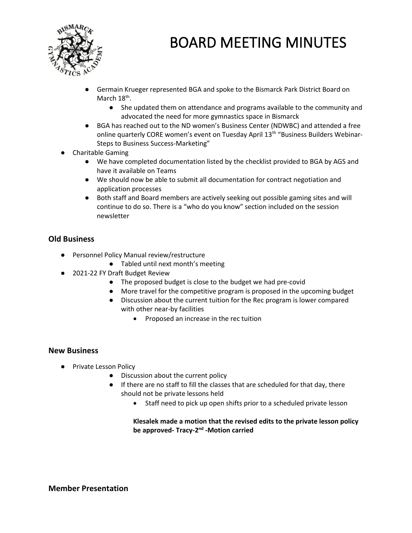

- Germain Krueger represented BGA and spoke to the Bismarck Park District Board on March 18<sup>th</sup>.
	- She updated them on attendance and programs available to the community and advocated the need for more gymnastics space in Bismarck
- BGA has reached out to the ND women's Business Center (NDWBC) and attended a free online quarterly CORE women's event on Tuesday April 13<sup>th</sup> "Business Builders Webinar-Steps to Business Success-Marketing"
- **Charitable Gaming** 
	- We have completed documentation listed by the checklist provided to BGA by AGS and have it available on Teams
	- We should now be able to submit all documentation for contract negotiation and application processes
	- Both staff and Board members are actively seeking out possible gaming sites and will continue to do so. There is a "who do you know" section included on the session newsletter

### **Old Business**

- Personnel Policy Manual review/restructure
	- Tabled until next month's meeting
- 2021-22 FY Draft Budget Review
	- The proposed budget is close to the budget we had pre-covid
	- More travel for the competitive program is proposed in the upcoming budget
	- Discussion about the current tuition for the Rec program is lower compared with other near-by facilities
		- Proposed an increase in the rec tuition

#### **New Business**

- Private Lesson Policy
	- Discussion about the current policy
	- If there are no staff to fill the classes that are scheduled for that day, there should not be private lessons held
		- Staff need to pick up open shifts prior to a scheduled private lesson

**Klesalek made a motion that the revised edits to the private lesson policy**  be approved- Tracy-2<sup>nd</sup> -Motion carried